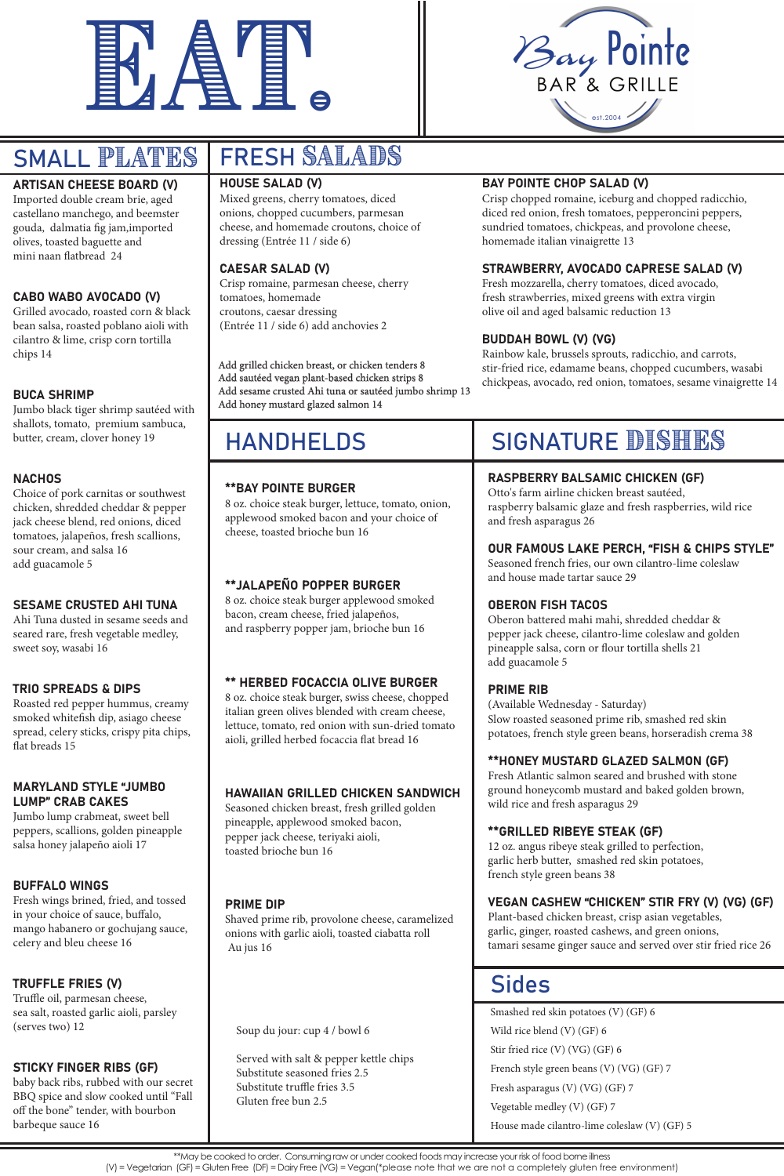



# SMALL PLATES

# HANDHELDS

# ARTISAN CHEESE BOARD (V)

Imported double cream brie, aged castellano manchego, and beemster gouda, dalmatia fig jam,imported olives, toasted baguette and mini naan flatbread 24

### CABO WABO AVOCADO (V)

Grilled avocado, roasted corn & black bean salsa, roasted poblano aioli with cilantro & lime, crisp corn tortilla chips 14

### BUCA SHRIMP

Jumbo black tiger shrimp sautéed with shallots, tomato, premium sambuca, butter, cream, clover honey 19

### **NACHOS**

Choice of pork carnitas or southwest chicken, shredded cheddar & pepper jack cheese blend, red onions, diced tomatoes, jalapeños, fresh scallions, sour cream, and salsa 16 add guacamole 5

### SESAME CRUSTED AHI TUNA

Ahi Tuna dusted in sesame seeds and seared rare, fresh vegetable medley, sweet soy, wasabi 16

### TRIO SPREADS & DIPS

Roasted red pepper hummus, creamy smoked whitefish dip, asiago cheese spread, celery sticks, crispy pita chips, flat breads 15

# MARYLAND STYLE "JUMBO LUMP" CRAB CAKES

Jumbo lump crabmeat, sweet bell peppers, scallions, golden pineapple salsa honey jalapeño aioli 17

# FRESH SALADS

#### BUFFALO WINGS

Fresh wings brined, fried, and tossed in your choice of sauce, buffalo, mango habanero or gochujang sauce, celery and bleu cheese 16

### TRUFFLE FRIES (V)

Truffle oil, parmesan cheese, sea salt, roasted garlic aioli, parsley (serves two) 12

### STICKY FINGER RIBS (GF)

baby back ribs, rubbed with our secret BBQ spice and slow cooked until "Fall off the bone" tender, with bourbon barbeque sauce 16

# HOUSE SALAD (V)

Mixed greens, cherry tomatoes, diced onions, chopped cucumbers, parmesan cheese, and homemade croutons, choice of dressing (Entrée 11 / side 6)

# CAESAR SALAD (V)

Crisp romaine, parmesan cheese, cherry tomatoes, homemade croutons, caesar dressing (Entrée 11 / side 6) add anchovies 2

# BAY POINTE CHOP SALAD (V)

Crisp chopped romaine, iceburg and chopped radicchio, diced red onion, fresh tomatoes, pepperoncini peppers, sundried tomatoes, chickpeas, and provolone cheese, homemade italian vinaigrette 13

# STRAWBERRY, AVOCADO CAPRESE SALAD (V)

Fresh mozzarella, cherry tomatoes, diced avocado, fresh strawberries, mixed greens with extra virgin olive oil and aged balsamic reduction 13

# BUDDAH BOWL (V) (VG)

Rainbow kale, brussels sprouts, radicchio, and carrots, stir-fried rice, edamame beans, chopped cucumbers, wasabi chickpeas, avocado, red onion, tomatoes, sesame vinaigrette 14

Add grilled chicken breast, or chicken tenders 8 Add sautéed vegan plant-based chicken strips 8 Add sesame crusted Ahi tuna or sautéed jumbo shrimp 13 Add honey mustard glazed salmon 14

# \*\*BAY POINTE BURGER

8 oz. choice steak burger, lettuce, tomato, onion, applewood smoked bacon and your choice of cheese, toasted brioche bun 16

# \*\*JALAPEÑO POPPER BURGER

8 oz. choice steak burger applewood smoked bacon, cream cheese, fried jalapeños, and raspberry popper jam, brioche bun 16

# \*\* HERBED FOCACCIA OLIVE BURGER

8 oz. choice steak burger, swiss cheese, chopped italian green olives blended with cream cheese, lettuce, tomato, red onion with sun-dried tomato aioli, grilled herbed focaccia flat bread 16

# HAWAIIAN GRILLED CHICKEN SANDWICH

Seasoned chicken breast, fresh grilled golden

# SIGNATURE DISHES

pineapple, applewood smoked bacon, pepper jack cheese, teriyaki aioli, toasted brioche bun 16

### PRIME DIP

Shaved prime rib, provolone cheese, caramelized onions with garlic aioli, toasted ciabatta roll Au jus 16

# RASPBERRY BALSAMIC CHICKEN (GF)

Otto's farm airline chicken breast sautéed, raspberry balsamic glaze and fresh raspberries, wild rice and fresh asparagus 26

# OUR FAMOUS LAKE PERCH, "FISH & CHIPS STYLE"

Seasoned french fries, our own cilantro-lime coleslaw and house made tartar sauce 29

# OBERON FISH TACOS

Oberon battered mahi mahi, shredded cheddar & pepper jack cheese, cilantro-lime coleslaw and golden pineapple salsa, corn or flour tortilla shells 21 add guacamole 5

# PRIME RIB

(Available Wednesday - Saturday) Slow roasted seasoned prime rib, smashed red skin potatoes, french style green beans, horseradish crema 38

# \*\*HONEY MUSTARD GLAZED SALMON (GF)

Fresh Atlantic salmon seared and brushed with stone ground honeycomb mustard and baked golden brown, wild rice and fresh asparagus 29

#### \*\*GRILLED RIBEYE STEAK (GF)

12 oz. angus ribeye steak grilled to perfection, garlic herb butter, smashed red skin potatoes, french style green beans 38

### VEGAN CASHEW "CHICKEN" STIR FRY (V) (VG) (GF)

Plant-based chicken breast, crisp asian vegetables, garlic, ginger, roasted cashews, and green onions, tamari sesame ginger sauce and served over stir fried rice 26

# Sides

Smashed red skin potatoes (V) (GF) 6 Wild rice blend (V) (GF) 6 Stir fried rice (V) (VG) (GF) 6 French style green beans (V) (VG) (GF) 7 Fresh asparagus (V) (VG) (GF) 7 Vegetable medley (V) (GF) 7 House made cilantro-lime coleslaw (V) (GF) 5

Soup du jour: cup 4 / bowl 6

Served with salt & pepper kettle chips Substitute seasoned fries 2.5 Substitute truffle fries 3.5 Gluten free bun 2.5

\*\*May be cooked to order. Consuming raw or under cooked foods may increase your risk of food borne illness

(V) = Vegetarian (GF) = Gluten Free (DF) = Dairy Free (VG) = Vegan(\*please note that we are not a completely gluten free environment)